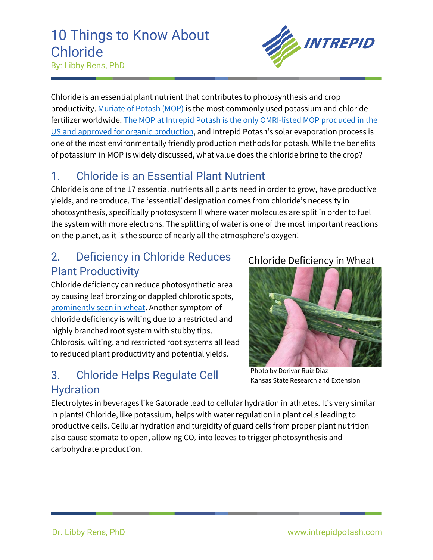# 10 Things to Know About Chloride





Chloride is an essential plant nutrient that contributes to photosynthesis and crop productivity[. Muriate of Potash \(MOP\)](https://www.intrepidpotash.com/potash/) is the most commonly used potassium and chloride fertilizer worldwide. The MOP at Intrepid Potash is the only OMRI-listed MOP produced in the [US and approved for organic production,](https://www.intrepidpotash.com/organics/) and Intrepid Potash's solar evaporation process is one of the most environmentally friendly production methods for potash. While the benefits of potassium in MOP is widely discussed, what value does the chloride bring to the crop?

### 1. Chloride is an Essential Plant Nutrient

Chloride is one of the 17 essential nutrients all plants need in order to grow, have productive yields, and reproduce. The 'essential' designation comes from chloride's necessity in photosynthesis, specifically photosystem II where water molecules are split in order to fuel the system with more electrons. The splitting of water is one of the most important reactions on the planet, as it is the source of nearly all the atmosphere's oxygen!

#### 2. Deficiency in Chloride Reduces Plant Productivity

Chloride deficiency can reduce photosynthetic area by causing leaf bronzing or dappled chlorotic spots, [prominently seen in wheat.](https://www.agriculture.com/crops/wheat/production/wheat-benefits-from-chlide_145-ar48273) Another symptom of chloride deficiency is wilting due to a restricted and highly branched root system with stubby tips. Chlorosis, wilting, and restricted root systems all lead to reduced plant productivity and potential yields.

#### 3. Chloride Helps Regulate Cell Hydration

#### Chloride Deficiency in Wheat



Photo by Dorivar Ruiz Diaz Kansas State Research and Extension

Electrolytes in beverages like Gatorade lead to cellular hydration in athletes. It's very similar in plants! Chloride, like potassium, helps with water regulation in plant cells leading to productive cells. Cellular hydration and turgidity of guard cells from proper plant nutrition also cause stomata to open, allowing  $CO<sub>2</sub>$  into leaves to trigger photosynthesis and carbohydrate production.